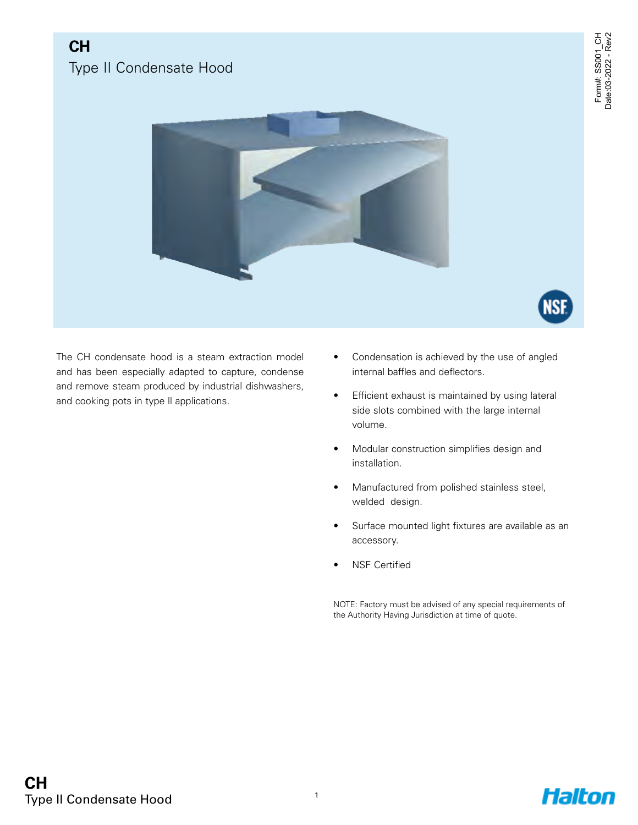NSI

# **CH** Type II Condensate Hood



The CH condensate hood is a steam extraction model and has been especially adapted to capture, condense and remove steam produced by industrial dishwashers, and cooking pots in type ll applications.

- Condensation is achieved by the use of angled internal baffles and deflectors.
- Efficient exhaust is maintained by using lateral side slots combined with the large internal volume.
- Modular construction simplifies design and installation.
- Manufactured from polished stainless steel, welded design.
- Surface mounted light fixtures are available as an accessory.
- NSF Certified

NOTE: Factory must be advised of any special requirements of the Authority Having Jurisdiction at time of quote.

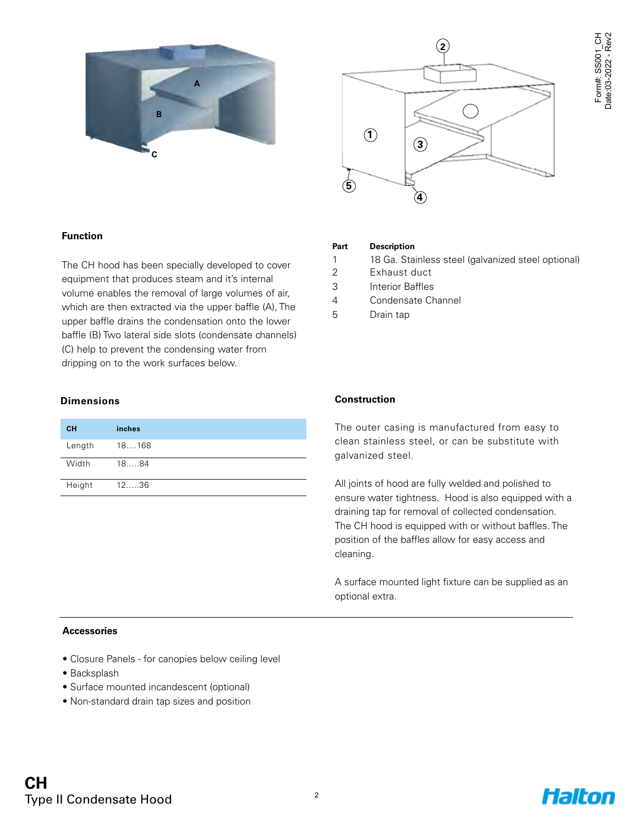



#### **Function**

The CH hood has been specially developed to cover equipment that produces steam and it's internal volume enables the removal of large volumes of air, which are then extracted via the upper baffle (A), The upper baffle drains the condensation onto the lower baffle (B) Two lateral side slots (condensate channels) (C) help to prevent the condensing water from dripping on to the work surfaces below.

#### **Dimensions**

| <b>CH</b> | inches  |
|-----------|---------|
| Length    | 18168   |
| Width     | 1884    |
| Height    | $12$ 36 |

#### **Part Description**

- 1 18 Ga. Stainless steel (galvanized steel optional)
- 2 Exhaust duct
- 3 Interior Baffles
- 4 Condensate Channel
- 5 Drain tap

#### **Construction**

The outer casing is manufactured from easy to clean stainless steel, or can be substitute with galvanized steel.

All joints of hood are fully welded and polished to ensure water tightness. Hood is also equipped with a draining tap for removal of collected condensation. The CH hood is equipped with or without baffles. The position of the baffles allow for easy access and cleaning.

A surface mounted light fixture can be supplied as an optional extra.

#### **Accessories**

- Closure Panels for canopies below ceiling level
- Backsplash
- Surface mounted incandescent (optional)
- Non-standard drain tap sizes and position

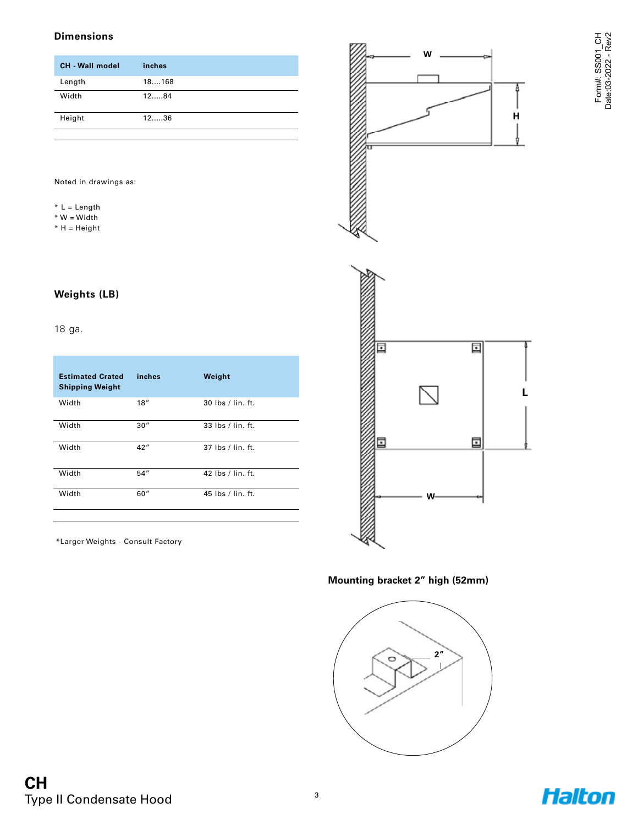#### **Dimensions**

| <b>CH</b> - Wall model | inches  |
|------------------------|---------|
| Length                 | 18168   |
| Width                  | 1284    |
| Height                 | $12$ 36 |

Noted in drawings as:

- \* L = Length
- $*$  W = Width
- \* H = Height

#### **Weights (LB)**

#### 18 ga.

| <b>Estimated Crated</b><br><b>Shipping Weight</b> | inches | Weight                                                     |
|---------------------------------------------------|--------|------------------------------------------------------------|
| Width                                             | 18''   | $30$ lbs / lin. ft.                                        |
| Width                                             | 30''   | $33$ lbs / lin. ft.                                        |
| Width                                             | 42''   | $37$ lbs / lin. ft.                                        |
| Width                                             | 54"    | 42 $\mathsf{I}\mathsf{bs}$ / $\mathsf{I}\mathsf{in}$ . ft. |
| Width                                             | 60''   | 45 lbs / lin. ft.                                          |

\*Larger Weights - Consult Factory





**Mounting bracket 2" high (52mm)**